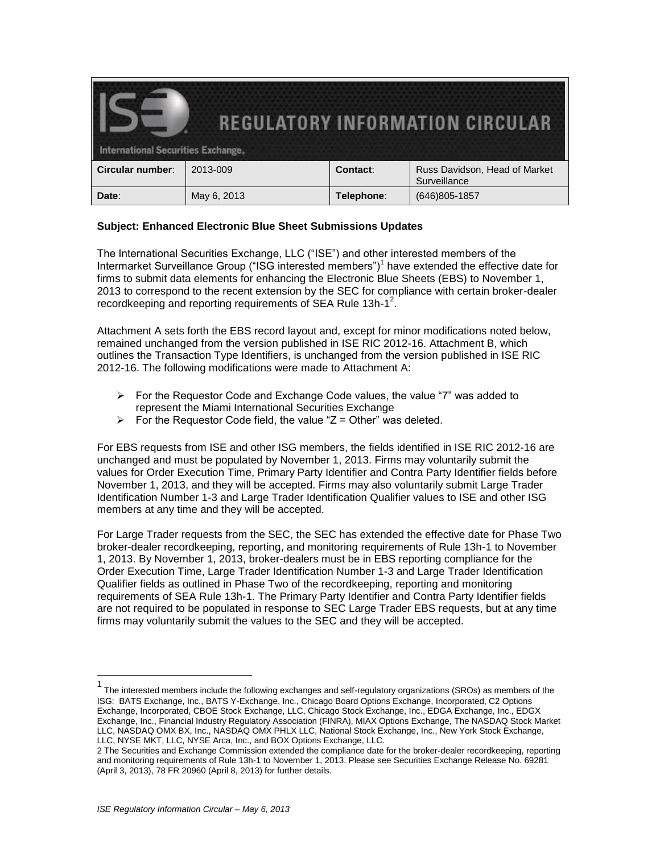| <b>International Securities Exchange.</b> |             |            | <b>REGULATORY INFORMATION CIRCULAR</b>        |
|-------------------------------------------|-------------|------------|-----------------------------------------------|
| <b>Circular number:</b>                   | 2013-009    | Contact:   | Russ Davidson, Head of Market<br>Surveillance |
| Date:                                     | May 6, 2013 | Telephone: | $(646)805 - 1857$                             |

## **Subject: Enhanced Electronic Blue Sheet Submissions Updates**

The International Securities Exchange, LLC ("ISE") and other interested members of the Intermarket Surveillance Group ("ISG interested members")<sup>1</sup> have extended the effective date for firms to submit data elements for enhancing the Electronic Blue Sheets (EBS) to November 1, 2013 to correspond to the recent extension by the SEC for compliance with certain broker-dealer recordkeeping and reporting requirements of SEA Rule 13h-1<sup>2</sup>.

Attachment A sets forth the EBS record layout and, except for minor modifications noted below, remained unchanged from the version published in ISE RIC 2012-16. Attachment B, which outlines the Transaction Type Identifiers, is unchanged from the version published in ISE RIC 2012-16. The following modifications were made to Attachment A:

- $\triangleright$  For the Requestor Code and Exchange Code values, the value "7" was added to represent the Miami International Securities Exchange
- $\triangleright$  For the Requestor Code field, the value "Z = Other" was deleted.

For EBS requests from ISE and other ISG members, the fields identified in ISE RIC 2012-16 are unchanged and must be populated by November 1, 2013. Firms may voluntarily submit the values for Order Execution Time, Primary Party Identifier and Contra Party Identifier fields before November 1, 2013, and they will be accepted. Firms may also voluntarily submit Large Trader Identification Number 1-3 and Large Trader Identification Qualifier values to ISE and other ISG members at any time and they will be accepted.

For Large Trader requests from the SEC, the SEC has extended the effective date for Phase Two broker-dealer recordkeeping, reporting, and monitoring requirements of Rule 13h-1 to November 1, 2013. By November 1, 2013, broker-dealers must be in EBS reporting compliance for the Order Execution Time, Large Trader Identification Number 1-3 and Large Trader Identification Qualifier fields as outlined in Phase Two of the recordkeeping, reporting and monitoring requirements of SEA Rule 13h-1. The Primary Party Identifier and Contra Party Identifier fields are not required to be populated in response to SEC Large Trader EBS requests, but at any time firms may voluntarily submit the values to the SEC and they will be accepted.

 $\overline{a}$ 

<sup>1</sup> The interested members include the following exchanges and self-regulatory organizations (SROs) as members of the ISG: BATS Exchange, Inc., BATS Y-Exchange, Inc., Chicago Board Options Exchange, Incorporated, C2 Options Exchange, Incorporated, CBOE Stock Exchange, LLC, Chicago Stock Exchange, Inc., EDGA Exchange, Inc., EDGX Exchange, Inc., Financial Industry Regulatory Association (FINRA), MIAX Options Exchange, The NASDAQ Stock Market LLC, NASDAQ OMX BX, Inc., NASDAQ OMX PHLX LLC, National Stock Exchange, Inc., New York Stock Exchange, LLC, NYSE MKT, LLC, NYSE Arca, Inc., and BOX Options Exchange, LLC.

<sup>2</sup> The Securities and Exchange Commission extended the compliance date for the broker-dealer recordkeeping, reporting and monitoring requirements of Rule 13h-1 to November 1, 2013. Please see Securities Exchange Release No. 69281 (April 3, 2013), 78 FR 20960 (April 8, 2013) for further details.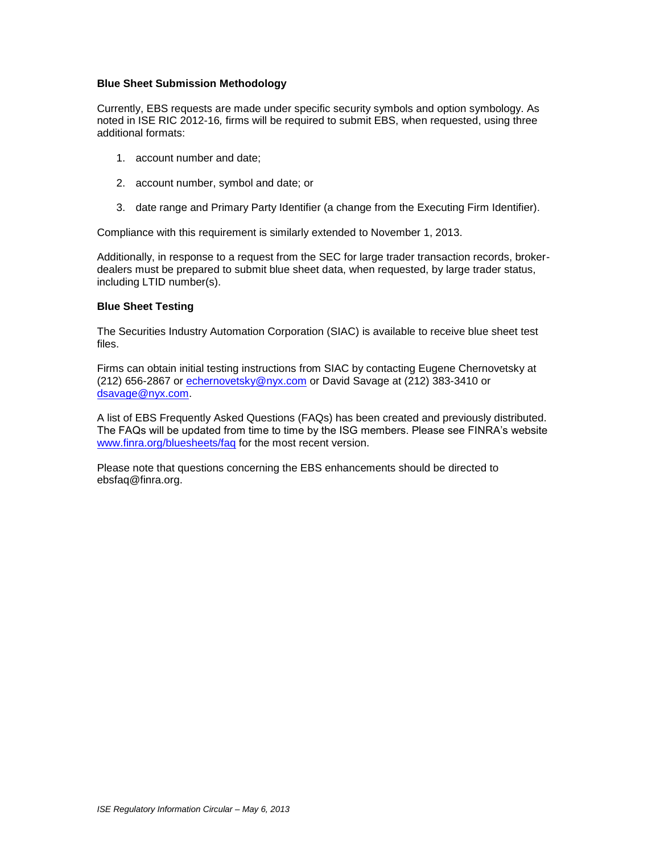## **Blue Sheet Submission Methodology**

Currently, EBS requests are made under specific security symbols and option symbology. As noted in ISE RIC 2012-16*,* firms will be required to submit EBS, when requested, using three additional formats:

- 1. account number and date;
- 2. account number, symbol and date; or
- 3. date range and Primary Party Identifier (a change from the Executing Firm Identifier).

Compliance with this requirement is similarly extended to November 1, 2013.

Additionally, in response to a request from the SEC for large trader transaction records, brokerdealers must be prepared to submit blue sheet data, when requested, by large trader status, including LTID number(s).

## **Blue Sheet Testing**

The Securities Industry Automation Corporation (SIAC) is available to receive blue sheet test files.

Firms can obtain initial testing instructions from SIAC by contacting Eugene Chernovetsky at (212) 656-2867 or [echernovetsky@nyx.com](mailto:echernovetsky@nyx.com) or David Savage at (212) 383-3410 or [dsavage@nyx.com.](mailto:dsavage@nyx.com)

A list of EBS Frequently Asked Questions (FAQs) has been created and previously distributed. The FAQs will be updated from time to time by the ISG members. Please see FINRA's website [www.finra.org/bluesheets/faq](http://www.finra.org/bluesheets/faq) for the most recent version.

Please note that questions concerning the EBS enhancements should be directed to [ebsfaq@finra.org.](mailto:ebsfaq@finra.org)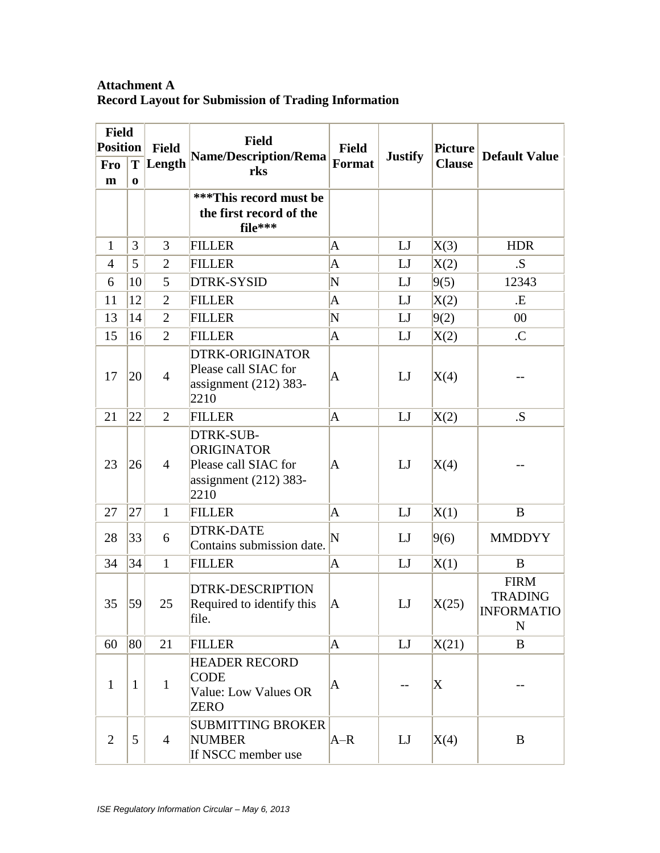## **Attachment A Record Layout for Submission of Trading Information**

| <b>Field</b>    |               |                | <b>Field</b>                                                                              |               |                |                |                                                                 |
|-----------------|---------------|----------------|-------------------------------------------------------------------------------------------|---------------|----------------|----------------|-----------------------------------------------------------------|
| <b>Position</b> |               | <b>Field</b>   | <b>Name/Description/Rema</b>                                                              | <b>Field</b>  | <b>Justify</b> | <b>Picture</b> | <b>Default Value</b>                                            |
| <b>Fro</b><br>m | T<br>$\bf{0}$ | Length         | rks                                                                                       | <b>Format</b> |                | <b>Clause</b>  |                                                                 |
|                 |               |                | ***This record must be<br>the first record of the<br>file***                              |               |                |                |                                                                 |
| $\mathbf{1}$    | 3             | 3              | <b>FILLER</b>                                                                             | A             | LJ             | X(3)           | <b>HDR</b>                                                      |
| $\overline{4}$  | 5             | $\overline{2}$ | <b>FILLER</b>                                                                             | A             | LJ             | X(2)           | .S.                                                             |
| 6               | 10            | 5              | DTRK-SYSID                                                                                | N             | LJ             | 9(5)           | 12343                                                           |
| 11              | 12            | $\overline{2}$ | <b>FILLER</b>                                                                             | A             | LJ             | X(2)           | <b>.E</b>                                                       |
| 13              | 14            | $\overline{2}$ | <b>FILLER</b>                                                                             | N             | LJ             | 9(2)           | 00                                                              |
| 15              | 16            | $\overline{2}$ | <b>FILLER</b>                                                                             | A             | LJ             | X(2)           | $\overline{C}$                                                  |
| 17              | 20            | $\overline{4}$ | <b>DTRK-ORIGINATOR</b><br>Please call SIAC for<br>assignment $(212)$ 383-<br>2210         | $\mathbf A$   | LJ             | X(4)           |                                                                 |
| 21              | 22            | $\overline{2}$ | <b>FILLER</b>                                                                             | A             | LJ             | X(2)           | .S.                                                             |
| 23              | 26            | $\overline{4}$ | DTRK-SUB-<br><b>ORIGINATOR</b><br>Please call SIAC for<br>assignment $(212)$ 383-<br>2210 | A             | LJ             | X(4)           |                                                                 |
| 27              | 27            | $\mathbf{1}$   | <b>FILLER</b>                                                                             | A             | LJ             | X(1)           | B                                                               |
| 28              | 33            | 6              | <b>DTRK-DATE</b><br>Contains submission date.                                             | N             | LJ             | 9(6)           | <b>MMDDYY</b>                                                   |
| 34              | 34            | $\mathbf{1}$   | <b>FILLER</b>                                                                             | A             | LJ             | X(1)           | B                                                               |
| 35              | 59            | 25             | <b>DTRK-DESCRIPTION</b><br>Required to identify this<br>file.                             | Α             | LJ             | X(25)          | <b>FIRM</b><br><b>TRADING</b><br><b>INFORMATIO</b><br>${\bf N}$ |
| 60              | 80            | 21             | <b>FILLER</b>                                                                             | A             | LI             | X(21)          | B                                                               |
| $\mathbf{1}$    | $\mathbf{1}$  | $\mathbf{1}$   | <b>HEADER RECORD</b><br><b>CODE</b><br>Value: Low Values OR<br><b>ZERO</b>                | A             |                | X              |                                                                 |
| $\overline{2}$  | 5             | $\overline{4}$ | <b>SUBMITTING BROKER</b><br><b>NUMBER</b><br>If NSCC member use                           | $A-R$         | LJ             | X(4)           | B                                                               |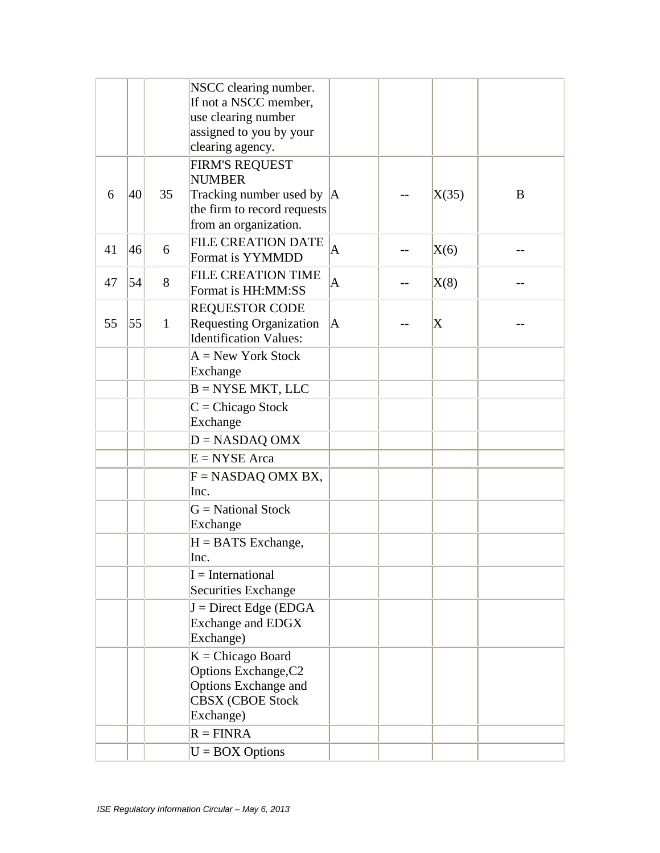|    |    |              | NSCC clearing number.<br>If not a NSCC member,<br>use clearing number<br>assigned to you by your<br>clearing agency.            |                         |                           |   |
|----|----|--------------|---------------------------------------------------------------------------------------------------------------------------------|-------------------------|---------------------------|---|
| 6  | 40 | 35           | <b>FIRM'S REQUEST</b><br><b>NUMBER</b><br>Tracking number used by $ A $<br>the firm to record requests<br>from an organization. |                         | X(35)                     | B |
| 41 | 46 | 6            | <b>FILE CREATION DATE</b><br>Format is YYMMDD                                                                                   | $\overline{\mathbf{A}}$ | X(6)                      |   |
| 47 | 54 | 8            | <b>FILE CREATION TIME</b><br>Format is HH:MM:SS                                                                                 | $\mathbf{A}$            | X(8)                      |   |
| 55 | 55 | $\mathbf{1}$ | <b>REQUESTOR CODE</b><br><b>Requesting Organization</b><br><b>Identification Values:</b>                                        | $\overline{A}$          | $\boldsymbol{\mathrm{X}}$ |   |
|    |    |              | $A = New York Stock$<br>Exchange                                                                                                |                         |                           |   |
|    |    |              | $B = NYSE MKT$ , LLC                                                                                                            |                         |                           |   |
|    |    |              | $C =$ Chicago Stock<br>Exchange                                                                                                 |                         |                           |   |
|    |    |              | $D = NASDAQ OMX$                                                                                                                |                         |                           |   |
|    |    |              | $E = NYSE Area$                                                                                                                 |                         |                           |   |
|    |    |              | $F = NASDAQ OMX BX,$<br>Inc.                                                                                                    |                         |                           |   |
|    |    |              | $G = National Stock$<br>Exchange                                                                                                |                         |                           |   |
|    |    |              | $H = BATS$ Exchange,<br>Inc.                                                                                                    |                         |                           |   |
|    |    |              | $I = International$<br>Securities Exchange                                                                                      |                         |                           |   |
|    |    |              | $J =$ Direct Edge (EDGA<br><b>Exchange and EDGX</b><br>Exchange)                                                                |                         |                           |   |
|    |    |              | $K = Chicago$ Board<br>Options Exchange, C2<br>Options Exchange and<br><b>CBSX (CBOE Stock</b><br>Exchange)                     |                         |                           |   |
|    |    |              | $R = FINRA$                                                                                                                     |                         |                           |   |
|    |    |              | $U = BOX$ Options                                                                                                               |                         |                           |   |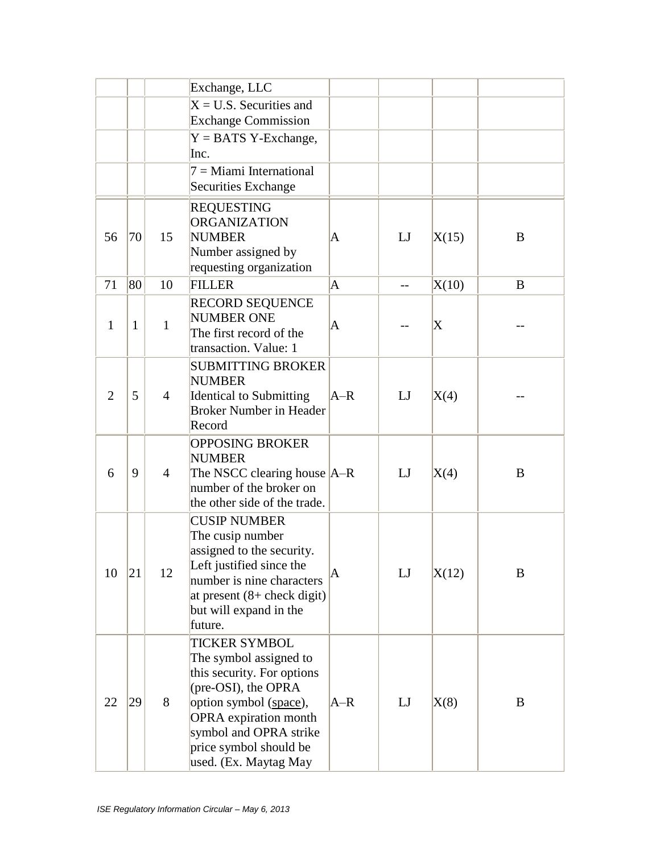|                |    |                | Exchange, LLC                                                                                                                                                                                                                              |       |     |       |   |
|----------------|----|----------------|--------------------------------------------------------------------------------------------------------------------------------------------------------------------------------------------------------------------------------------------|-------|-----|-------|---|
|                |    |                | $X = U.S.$ Securities and<br><b>Exchange Commission</b>                                                                                                                                                                                    |       |     |       |   |
|                |    |                | $Y = BATS$ Y-Exchange,<br>Inc.                                                                                                                                                                                                             |       |     |       |   |
|                |    |                | $7 =$ Miami International<br><b>Securities Exchange</b>                                                                                                                                                                                    |       |     |       |   |
| 56             | 70 | 15             | <b>REQUESTING</b><br><b>ORGANIZATION</b><br><b>NUMBER</b><br>Number assigned by<br>requesting organization                                                                                                                                 | A     | LJ  | X(15) | B |
| 71             | 80 | 10             | <b>FILLER</b>                                                                                                                                                                                                                              | A     | $-$ | X(10) | B |
| 1              | 1  | $\mathbf{1}$   | <b>RECORD SEQUENCE</b><br><b>NUMBER ONE</b><br>The first record of the<br>transaction. Value: 1                                                                                                                                            | A     |     | X     |   |
| $\overline{2}$ | 5  | $\overline{4}$ | <b>SUBMITTING BROKER</b><br><b>NUMBER</b><br><b>Identical to Submitting</b><br><b>Broker Number in Header</b><br>Record                                                                                                                    | $A-R$ | LJ  | X(4)  |   |
| 6              | 9  | $\overline{4}$ | <b>OPPOSING BROKER</b><br><b>NUMBER</b><br>The NSCC clearing house  A-R<br>number of the broker on<br>the other side of the trade.                                                                                                         |       | LI  | X(4)  | B |
| 10             | 21 | 12             | <b>CUSIP NUMBER</b><br>The cusip number<br>assigned to the security.<br>Left justified since the<br>number is nine characters<br>at present $(8 + \text{check digit})$<br>but will expand in the<br>future.                                | A     | LJ  | X(12) | B |
| 22             | 29 | 8              | <b>TICKER SYMBOL</b><br>The symbol assigned to<br>this security. For options<br>(pre-OSI), the OPRA<br>option symbol (space),<br><b>OPRA</b> expiration month<br>symbol and OPRA strike<br>price symbol should be<br>used. (Ex. Maytag May | $A-R$ | LJ  | X(8)  | B |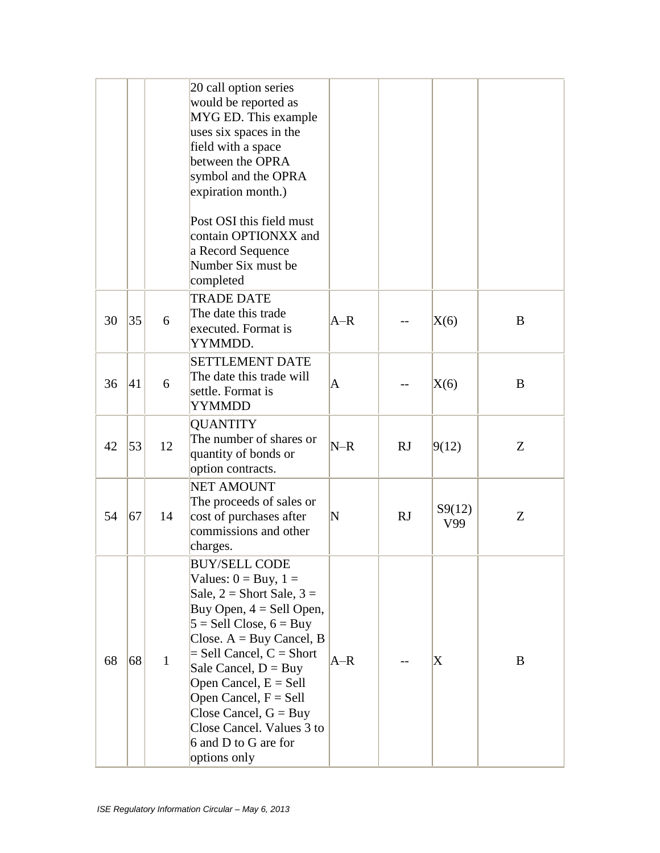|    |    |              | 20 call option series<br>would be reported as<br>MYG ED. This example<br>uses six spaces in the<br>field with a space<br>between the OPRA<br>symbol and the OPRA<br>expiration month.)<br>Post OSI this field must<br>contain OPTIONXX and<br>a Record Sequence<br>Number Six must be<br>completed                                                                                   |       |    |                           |   |
|----|----|--------------|--------------------------------------------------------------------------------------------------------------------------------------------------------------------------------------------------------------------------------------------------------------------------------------------------------------------------------------------------------------------------------------|-------|----|---------------------------|---|
| 30 | 35 | 6            | <b>TRADE DATE</b><br>The date this trade<br>executed. Format is<br>YYMMDD.                                                                                                                                                                                                                                                                                                           | $A-R$ |    | X(6)                      | B |
| 36 | 41 | 6            | <b>SETTLEMENT DATE</b><br>The date this trade will<br>settle. Format is<br><b>YYMMDD</b>                                                                                                                                                                                                                                                                                             | A     |    | X(6)                      | B |
| 42 | 53 | 12           | <b>QUANTITY</b><br>The number of shares or<br>quantity of bonds or<br>option contracts.                                                                                                                                                                                                                                                                                              | $N-R$ | RJ | 9(12)                     | Z |
| 54 | 67 | 14           | <b>NET AMOUNT</b><br>The proceeds of sales or<br>cost of purchases after<br>commissions and other<br>charges.                                                                                                                                                                                                                                                                        | N     | RJ | S9(12)<br>V99             | Z |
| 68 | 68 | $\mathbf{1}$ | BUY/SELL CODE<br>Values: $0 = Buy$ , $1 =$<br>Sale, $2 =$ Short Sale, $3 =$<br>Buy Open, $4 =$ Sell Open,<br>$5 =$ Sell Close, $6 =$ Buy<br>Close. $A = Buy$ Cancel, B<br>$=$ Sell Cancel, $C =$ Short<br>Sale Cancel, $D = Buy$<br>Open Cancel, $E =$ Sell<br>Open Cancel, F = Sell<br>Close Cancel, $G = Buy$<br>Close Cancel. Values 3 to<br>6 and D to G are for<br>options only | $A-R$ |    | $\boldsymbol{\mathrm{X}}$ | B |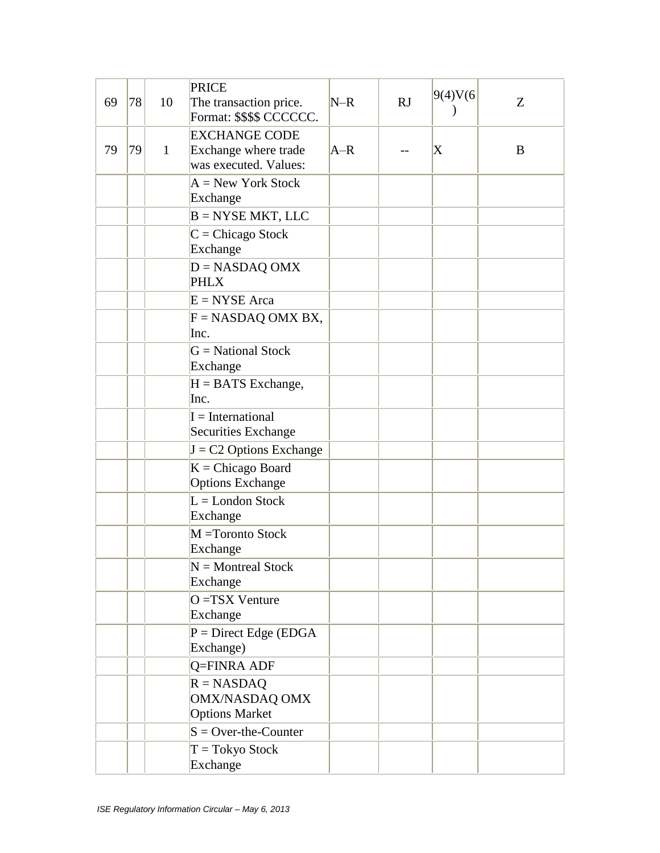| 69 | 78 | 10           | <b>PRICE</b><br>The transaction price.<br>Format: \$\$\$\$ CCCCCC.    | $N-R$ | RJ | 9(4)V(6)                  | Z |
|----|----|--------------|-----------------------------------------------------------------------|-------|----|---------------------------|---|
| 79 | 79 | $\mathbf{1}$ | <b>EXCHANGE CODE</b><br>Exchange where trade<br>was executed. Values: | $A-R$ |    | $\boldsymbol{\mathrm{X}}$ | B |
|    |    |              | $A = New York Stock$<br>Exchange                                      |       |    |                           |   |
|    |    |              | $B = NYSE MKT$ , LLC                                                  |       |    |                           |   |
|    |    |              | $C = Chicago Stock$<br>Exchange                                       |       |    |                           |   |
|    |    |              | $D = NASDAQ$ OMX<br><b>PHLX</b>                                       |       |    |                           |   |
|    |    |              | $E = NYSE Area$                                                       |       |    |                           |   |
|    |    |              | $F = NASDAQ OMX BX,$<br>Inc.                                          |       |    |                           |   |
|    |    |              | $G = National Stock$<br>Exchange                                      |       |    |                           |   |
|    |    |              | $H = BATS$ Exchange,<br>Inc.                                          |       |    |                           |   |
|    |    |              | $I = International$<br><b>Securities Exchange</b>                     |       |    |                           |   |
|    |    |              | $J = C2$ Options Exchange                                             |       |    |                           |   |
|    |    |              | $K = Chicago$ Board<br><b>Options Exchange</b>                        |       |    |                           |   |
|    |    |              | $L =$ London Stock<br>Exchange                                        |       |    |                           |   |
|    |    |              | M =Toronto Stock<br>Exchange                                          |       |    |                           |   |
|    |    |              | $N =$ Montreal Stock<br>Exchange                                      |       |    |                           |   |
|    |    |              | O =TSX Venture<br>Exchange                                            |       |    |                           |   |
|    |    |              | $P =$ Direct Edge (EDGA<br>Exchange)                                  |       |    |                           |   |
|    |    |              | Q=FINRA ADF                                                           |       |    |                           |   |
|    |    |              | $R = NASDAO$<br><b>OMX/NASDAQ OMX</b><br><b>Options Market</b>        |       |    |                           |   |
|    |    |              | $S = Over-the-Counter$                                                |       |    |                           |   |
|    |    |              | $T = Tokyo Stock$<br>Exchange                                         |       |    |                           |   |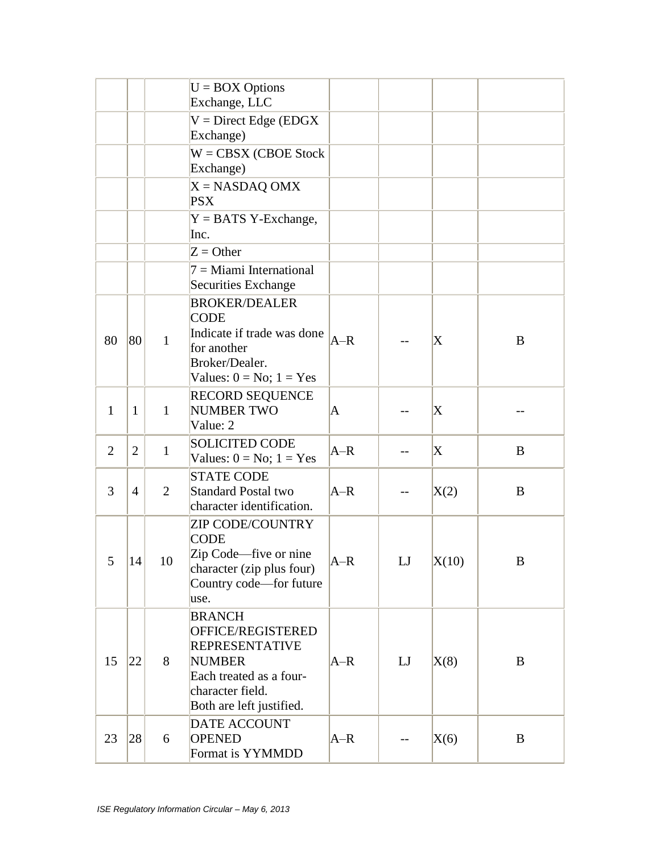|                |                |                | $U = BOX$ Options<br>Exchange, LLC                                                                                                                      |          |             |             |              |
|----------------|----------------|----------------|---------------------------------------------------------------------------------------------------------------------------------------------------------|----------|-------------|-------------|--------------|
|                |                |                | $V = Direct Edge (EDGX)$<br>Exchange)                                                                                                                   |          |             |             |              |
|                |                |                | $W = CBSX (CBOE Stock)$<br>Exchange)                                                                                                                    |          |             |             |              |
|                |                |                | $X = NASDAQ$ OMX<br><b>PSX</b>                                                                                                                          |          |             |             |              |
|                |                |                | $Y = BATS$ Y-Exchange,<br>Inc.                                                                                                                          |          |             |             |              |
|                |                |                | $Z =$ Other                                                                                                                                             |          |             |             |              |
|                |                |                | $7 =$ Miami International<br>Securities Exchange                                                                                                        |          |             |             |              |
| 80             | 80             | $\mathbf{1}$   | <b>BROKER/DEALER</b><br><b>CODE</b><br>Indicate if trade was done<br>for another<br>Broker/Dealer.<br>Values: $0 = No$ ; $1 = Yes$                      | $A-R$    |             | X           | B            |
| 1              | $\mathbf{1}$   | $\mathbf{1}$   | <b>RECORD SEQUENCE</b><br>NUMBER TWO<br>Value: 2                                                                                                        | $\bm{A}$ | --          | X           |              |
| $\overline{2}$ | $\overline{2}$ | $\mathbf{1}$   | <b>SOLICITED CODE</b><br>Values: $0 = No$ ; $1 = Yes$                                                                                                   | $A-R$    |             | $\mathbf X$ | B            |
| 3              | $\overline{4}$ | $\overline{2}$ | <b>STATE CODE</b><br><b>Standard Postal two</b><br>character identification.                                                                            | $A-R$    | --          | X(2)        | B            |
| 5 <sup>5</sup> | 14             | 10             | <b>ZIP CODE/COUNTRY</b><br><b>CODE</b><br>Zip Code—five or nine<br>character (zip plus four)<br>Country code-for future<br>use.                         | $A-R$    | LJ          | X(10)       | B            |
| 15             | 22             | 8              | <b>BRANCH</b><br>OFFICE/REGISTERED<br><b>REPRESENTATIVE</b><br><b>NUMBER</b><br>Each treated as a four-<br>character field.<br>Both are left justified. | $A-R$    | $_{\rm LJ}$ | X(8)        | B            |
| 23             | 28             | 6              | <b>DATE ACCOUNT</b><br><b>OPENED</b><br>Format is YYMMDD                                                                                                | $A-R$    |             | X(6)        | $\mathbf{B}$ |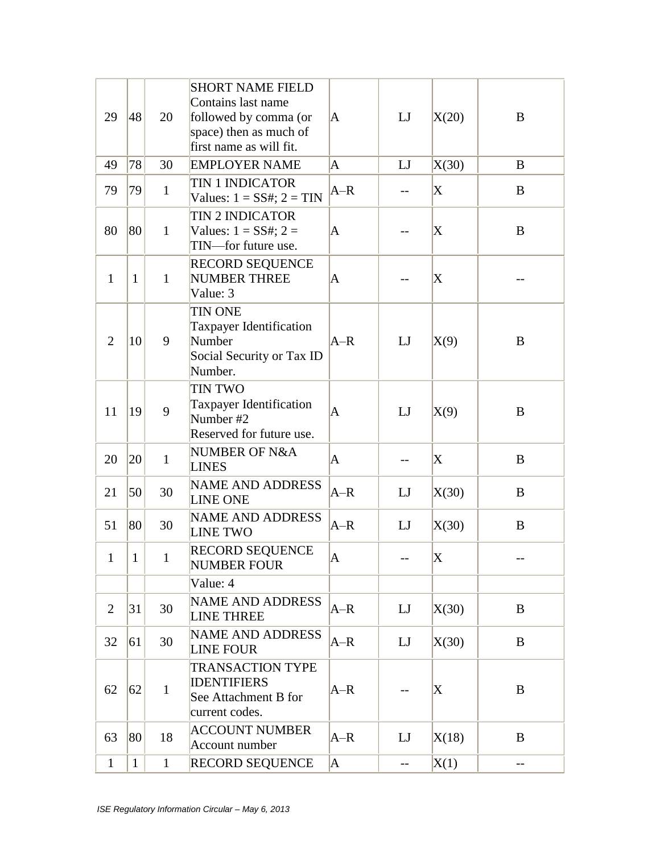| 29             | 48           | 20           | <b>SHORT NAME FIELD</b><br>Contains last name<br>followed by comma (or<br>space) then as much of<br>first name as will fit. | $\bm{A}$     | LI   | X(20) | B            |
|----------------|--------------|--------------|-----------------------------------------------------------------------------------------------------------------------------|--------------|------|-------|--------------|
| 49             | 78           | 30           | <b>EMPLOYER NAME</b>                                                                                                        | A            | LI   | X(30) | B            |
| 79             | 79           | $\mathbf{1}$ | <b>TIN 1 INDICATOR</b><br>Values: $1 = SS#$ ; $2 = TIN$                                                                     | $A-R$        | $-$  | X     | B            |
| 80             | 80           | $\mathbf{1}$ | <b>TIN 2 INDICATOR</b><br>Values: $1 = SS#$ ; $2 =$<br>TIN-for future use.                                                  | $\mathbf{A}$ |      | X     | $\bf{B}$     |
| $\mathbf{1}$   | $\mathbf{1}$ | $\mathbf{1}$ | RECORD SEQUENCE<br><b>NUMBER THREE</b><br>Value: 3                                                                          | A            |      | X     |              |
| $\overline{2}$ | 10           | 9            | <b>TIN ONE</b><br><b>Taxpayer Identification</b><br>Number<br>Social Security or Tax ID<br>Number.                          | $A-R$        | LI   | X(9)  | B            |
| 11             | 19           | 9            | <b>TIN TWO</b><br>Taxpayer Identification<br>Number #2<br>Reserved for future use.                                          | A            | LI   | X(9)  | B            |
| 20             | 20           | $\mathbf{1}$ | NUMBER OF N&A<br><b>LINES</b>                                                                                               | A            |      | X     | $\bf{B}$     |
| 21             | 50           | 30           | <b>NAME AND ADDRESS</b><br><b>LINE ONE</b>                                                                                  | $A-R$        | LJ   | X(30) | B            |
| 51             | 80           | 30           | <b>NAME AND ADDRESS</b><br><b>LINE TWO</b>                                                                                  | $A-R$        | LJ   | X(30) | $\bf{B}$     |
| 1              | $\mathbf{1}$ |              | <b>RECORD SEQUENCE</b><br><b>NUMBER FOUR</b>                                                                                | A            | $--$ | X     |              |
|                |              |              | Value: 4                                                                                                                    |              |      |       |              |
| $\overline{2}$ | 31           | 30           | <b>NAME AND ADDRESS</b><br><b>LINE THREE</b>                                                                                | $A-R$        | LJ   | X(30) | B            |
| 32             | 61           | 30           | <b>NAME AND ADDRESS</b><br><b>LINE FOUR</b>                                                                                 | $A-R$        | LI   | X(30) | $\mathbf{B}$ |
| 62             | 62           | $\mathbf{1}$ | <b>TRANSACTION TYPE</b><br><b>IDENTIFIERS</b><br>See Attachment B for<br>current codes.                                     | $A-R$        |      | X     | B            |
| 63             | 80           | 18           | <b>ACCOUNT NUMBER</b><br>Account number                                                                                     | $A-R$        | LJ   | X(18) | B            |
| $\mathbf{1}$   | $\mathbf{1}$ | $\mathbf{1}$ | RECORD SEQUENCE                                                                                                             | A            | $-$  | X(1)  | $-$          |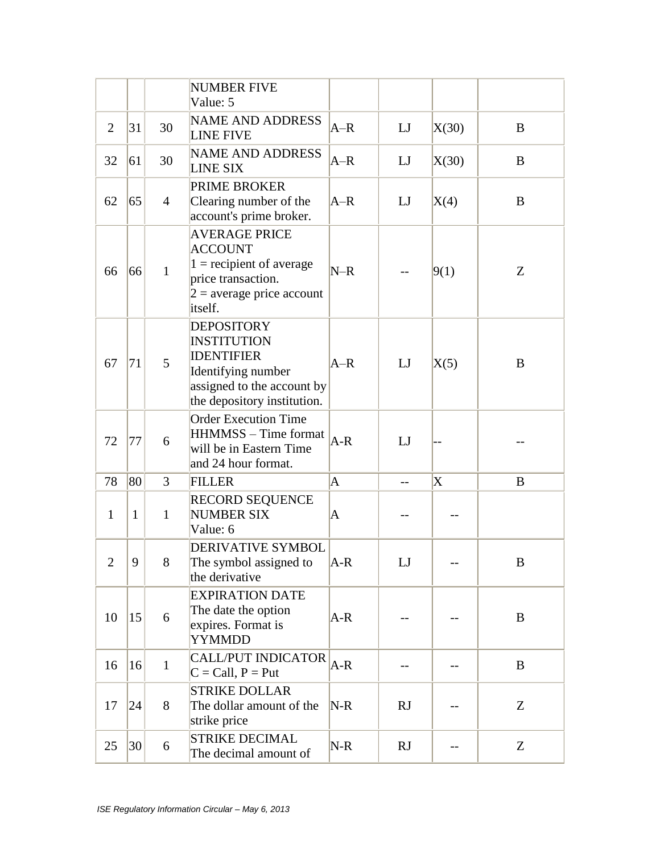|                |              |                | <b>NUMBER FIVE</b><br>Value: 5                                                                                                                  |       |             |                   |   |
|----------------|--------------|----------------|-------------------------------------------------------------------------------------------------------------------------------------------------|-------|-------------|-------------------|---|
| $\overline{2}$ | 31           | 30             | <b>NAME AND ADDRESS</b><br><b>LINE FIVE</b>                                                                                                     | $A-R$ | LJ          | X(30)             | B |
| 32             | 61           | 30             | <b>NAME AND ADDRESS</b><br><b>LINE SIX</b>                                                                                                      | $A-R$ | $_{\rm LJ}$ | X(30)             | B |
| 62             | 65           | $\overline{4}$ | <b>PRIME BROKER</b><br>Clearing number of the<br>account's prime broker.                                                                        | $A-R$ | $_{\rm LJ}$ | X(4)              | B |
| 66             | 66           | $\mathbf{1}$   | <b>AVERAGE PRICE</b><br><b>ACCOUNT</b><br>$1 =$ recipient of average<br>price transaction.<br>$2$ = average price account<br>itself.            | $N-R$ |             | 9(1)              | Z |
| 67             | 71           | 5              | <b>DEPOSITORY</b><br><b>INSTITUTION</b><br><b>IDENTIFIER</b><br>Identifying number<br>assigned to the account by<br>the depository institution. | $A-R$ | LI          | X(5)              | B |
| 72             | 77           | 6              | <b>Order Execution Time</b><br>HHMMSS - Time format<br>will be in Eastern Time<br>and 24 hour format.                                           | $A-R$ | LJ          |                   |   |
| 78             | 80           | 3              | <b>FILLER</b>                                                                                                                                   | A     | $-$         | X                 | B |
| $\mathbf{1}$   | $\mathbf{1}$ | $\mathbf{1}$   | <b>RECORD SEQUENCE</b><br><b>NUMBER SIX</b><br>Value: 6                                                                                         | A     |             |                   |   |
| 2              | 9            | 8              | DERIVATIVE SYMBOL<br>The symbol assigned to<br>the derivative                                                                                   | A-R   | LJ          | $\qquad \qquad -$ | В |
| 10             | 15           | 6              | <b>EXPIRATION DATE</b><br>The date the option<br>expires. Format is<br><b>YYMMDD</b>                                                            | A-R   |             |                   | B |
| 16             | 16           | $\mathbf{1}$   | <b>CALL/PUT INDICATOR</b><br>$C = Call, P = Put$                                                                                                | $A-R$ |             |                   | B |
| 17             | 24           | 8              | <b>STRIKE DOLLAR</b><br>The dollar amount of the<br>strike price                                                                                | $N-R$ | RJ          |                   | Z |
| 25             | 30           | 6              | <b>STRIKE DECIMAL</b><br>The decimal amount of                                                                                                  | $N-R$ | RJ          |                   | Z |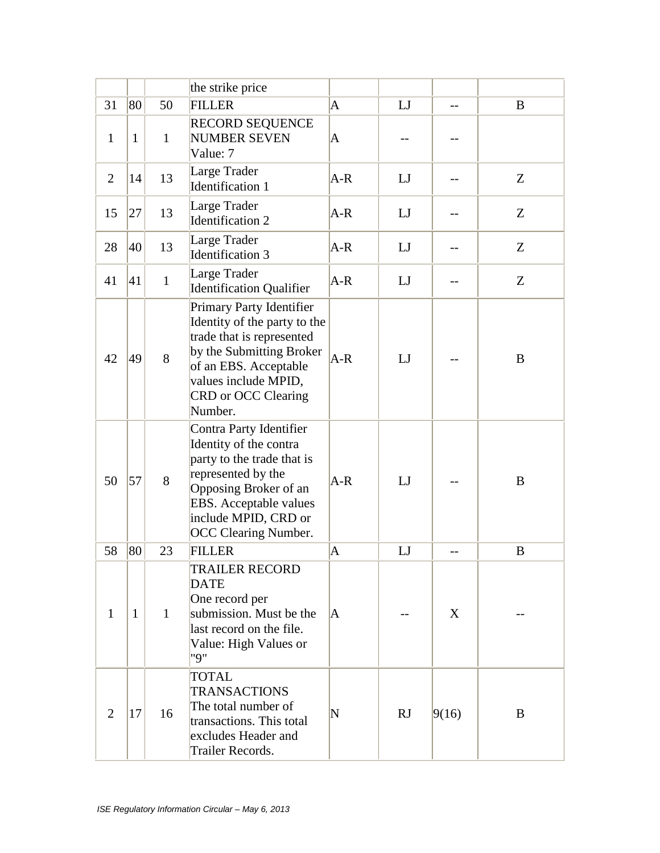|                |              |              | the strike price                                                                                                                                                                                                |              |             |       |   |
|----------------|--------------|--------------|-----------------------------------------------------------------------------------------------------------------------------------------------------------------------------------------------------------------|--------------|-------------|-------|---|
| 31             | 80           | 50           | <b>FILLER</b>                                                                                                                                                                                                   | A            | $_{\rm LJ}$ | $-$   | B |
| $\mathbf{1}$   | $\mathbf{1}$ | $\mathbf{1}$ | <b>RECORD SEQUENCE</b><br><b>NUMBER SEVEN</b><br>Value: 7                                                                                                                                                       | A            |             |       |   |
| $\overline{2}$ | 14           | 13           | Large Trader<br><b>Identification 1</b>                                                                                                                                                                         | $A-R$        | LJ          |       | Z |
| 15             | 27           | 13           | Large Trader<br><b>Identification 2</b>                                                                                                                                                                         | A-R          | LI          | --    | Z |
| 28             | 40           | 13           | Large Trader<br><b>Identification 3</b>                                                                                                                                                                         | $A-R$        | LJ          | --    | Z |
| 41             | 41           | $\mathbf{1}$ | Large Trader<br><b>Identification Qualifier</b>                                                                                                                                                                 | $A-R$        | LJ          | $-$   | Z |
| 42             | 49           | 8            | Primary Party Identifier<br>Identity of the party to the<br>trade that is represented<br>by the Submitting Broker<br>of an EBS. Acceptable<br>values include MPID,<br>CRD or OCC Clearing<br>Number.            | $A-R$        | LI          |       | B |
| 50             | 57           | 8            | Contra Party Identifier<br>Identity of the contra<br>party to the trade that is<br>represented by the<br>Opposing Broker of an<br>EBS. Acceptable values<br>include MPID, CRD or<br><b>OCC Clearing Number.</b> | $A-R$        | LJ          |       | B |
| 58             | 80           | 23           | <b>FILLER</b>                                                                                                                                                                                                   | $\mathsf{A}$ | LJ          | $-$   | B |
| 1              | $\mathbf{1}$ | $\mathbf{1}$ | TRAILER RECORD<br><b>DATE</b><br>One record per<br>submission. Must be the<br>last record on the file.<br>Value: High Values or<br>"9"                                                                          | A            | --          | X     |   |
| 2              | 17           | 16           | TOTAL<br><b>TRANSACTIONS</b><br>The total number of<br>transactions. This total<br>excludes Header and<br>Trailer Records.                                                                                      | N            | RJ          | 9(16) | B |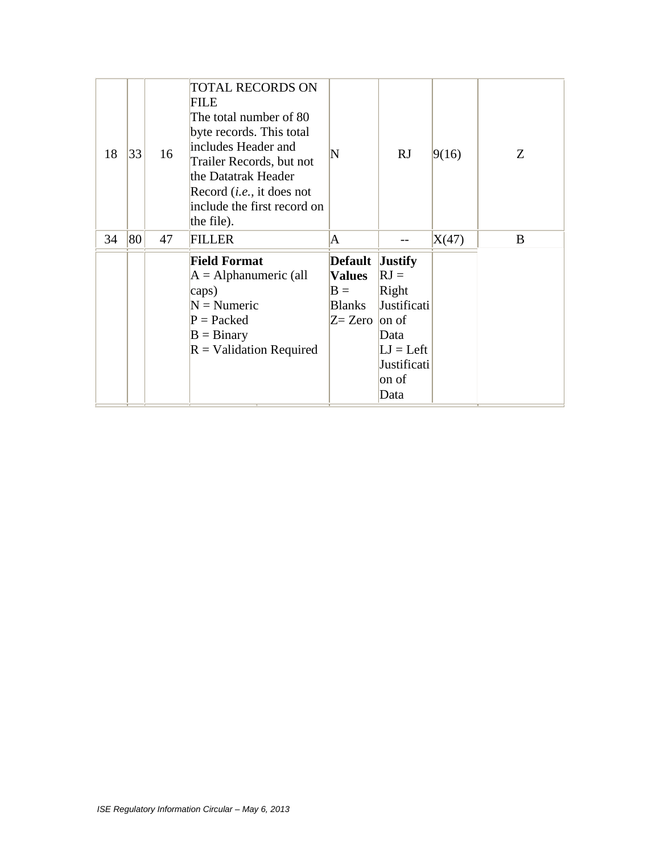| 18 | 33 | 16 | <b>TOTAL RECORDS ON</b><br>FILE<br>The total number of 80<br>byte records. This total<br>includes Header and<br>Trailer Records, but not<br>the Datatrak Header<br>Record <i>(i.e.,</i> it does not<br>include the first record on<br>the file). | N                                                                                | RJ                                                                                                      | 9(16) | Z |
|----|----|----|--------------------------------------------------------------------------------------------------------------------------------------------------------------------------------------------------------------------------------------------------|----------------------------------------------------------------------------------|---------------------------------------------------------------------------------------------------------|-------|---|
| 34 | 80 | 47 | <b>FILLER</b>                                                                                                                                                                                                                                    | A                                                                                |                                                                                                         | X(47) | B |
|    |    |    | <b>Field Format</b><br>$A =$ Alphanumeric (all<br>caps)<br>$N =$ Numeric<br>$P =$ Packed<br>$B = Binary$<br>$R =$ Validation Required                                                                                                            | <b>Default</b><br><b>Values</b><br>$B =$<br><b>Blanks</b><br>$Z=$ Zero $ $ on of | <b>Justify</b><br>$RJ =$<br>Right<br>Justificati<br>Data<br>$LI = Left$<br>Justificati<br>on of<br>Data |       |   |